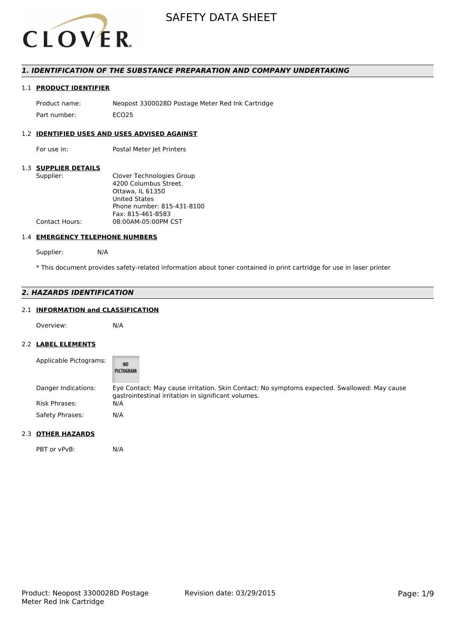

## *1. IDENTIFICATION OF THE SUBSTANCE PREPARATION AND COMPANY UNDERTAKING*

## 1.1 **PRODUCT IDENTIFIER**

Product name: Neopost 3300028D Postage Meter Red Ink Cartridge Part number: ECO25

## 1.2 **IDENTIFIED USES AND USES ADVISED AGAINST**

For use in: Postal Meter Jet Printers

## 1.3 **SUPPLIER DETAILS**

| Supplier:             | Clover Technologies Group  |
|-----------------------|----------------------------|
|                       | 4200 Columbus Street.      |
|                       | Ottawa. IL 61350           |
|                       | <b>United States</b>       |
|                       | Phone number: 815-431-8100 |
|                       | Fax: 815-461-8583          |
| <b>Contact Hours:</b> | 08:00AM-05:00PM CST        |
|                       |                            |

#### 1.4 **EMERGENCY TELEPHONE NUMBERS**

Supplier: N/A

\* This document provides safety-related information about toner contained in print cartridge for use in laser printer

## *2. HAZARDS IDENTIFICATION*

## 2.1 **INFORMATION and CLASSIFICATION**

Overview: N/A

## 2.2 **LABEL ELEMENTS**

| Applicable Pictograms: | <b>NO</b><br>PICTOGRAM                                                                                                                             |
|------------------------|----------------------------------------------------------------------------------------------------------------------------------------------------|
| Danger Indications:    | Eye Contact: May cause irritation. Skin Contact: No symptoms expected. Swallowed: May cause<br>gastrointestinal irritation in significant volumes. |
| <b>Risk Phrases:</b>   | N/A                                                                                                                                                |
| Safety Phrases:        | N/A                                                                                                                                                |

## 2.3 **OTHER HAZARDS**

PBT or vPvB: N/A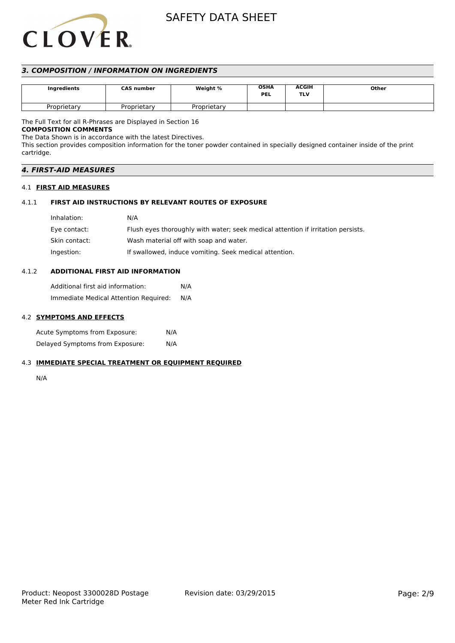

## *3. COMPOSITION / INFORMATION ON INGREDIENTS*

| Ingredients | <b>CAS number</b> | Weight %    | <b>OSHA</b><br><b>PEL</b> | <b>ACGIH</b><br><b>TLV</b> | Other |
|-------------|-------------------|-------------|---------------------------|----------------------------|-------|
| Proprietary | roprietarv        | Proprietary |                           |                            |       |

The Full Text for all R-Phrases are Displayed in Section 16

# **COMPOSITION COMMENTS**

The Data Shown is in accordance with the latest Directives.

This section provides composition information for the toner powder contained in specially designed container inside of the print cartridge.

| <i><b>4. FIRST-AID MEASURES</b></i> |  |
|-------------------------------------|--|
|                                     |  |

### 4.1 **FIRST AID MEASURES**

## 4.1.1 **FIRST AID INSTRUCTIONS BY RELEVANT ROUTES OF EXPOSURE**

| Inhalation:   | N/A                                                                              |
|---------------|----------------------------------------------------------------------------------|
| Eye contact:  | Flush eyes thoroughly with water; seek medical attention if irritation persists. |
| Skin contact: | Wash material off with soap and water.                                           |
| Ingestion:    | If swallowed, induce vomiting. Seek medical attention.                           |

## 4.1.2 **ADDITIONAL FIRST AID INFORMATION**

Additional first aid information: N/A Immediate Medical Attention Required: N/A

## 4.2 **SYMPTOMS AND EFFECTS**

Acute Symptoms from Exposure: N/A Delayed Symptoms from Exposure: N/A

## 4.3 **IMMEDIATE SPECIAL TREATMENT OR EQUIPMENT REQUIRED**

N/A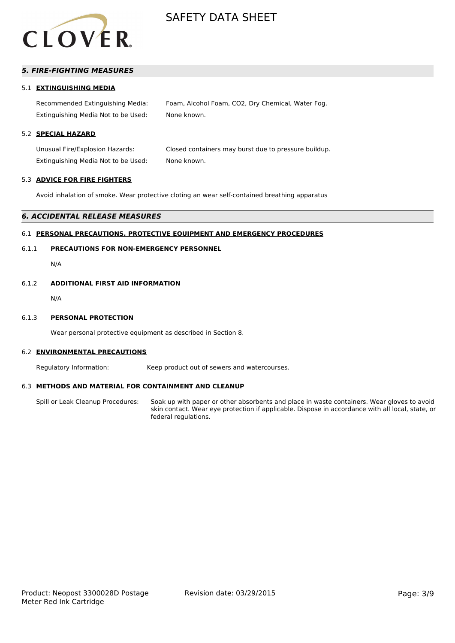

## *5. FIRE-FIGHTING MEASURES*

#### 5.1 **EXTINGUISHING MEDIA**

Recommended Extinguishing Media: Foam, Alcohol Foam, CO2, Dry Chemical, Water Fog. Extinguishing Media Not to be Used: None known.

## 5.2 **SPECIAL HAZARD**

Unusual Fire/Explosion Hazards: Closed containers may burst due to pressure buildup. Extinguishing Media Not to be Used: None known.

#### 5.3 **ADVICE FOR FIRE FIGHTERS**

Avoid inhalation of smoke. Wear protective cloting an wear self-contained breathing apparatus

#### *6. ACCIDENTAL RELEASE MEASURES*

## 6.1 **PERSONAL PRECAUTIONS, PROTECTIVE EQUIPMENT AND EMERGENCY PROCEDURES**

## 6.1.1 **PRECAUTIONS FOR NON-EMERGENCY PERSONNEL**

N/A

## 6.1.2 **ADDITIONAL FIRST AID INFORMATION**

N/A

## 6.1.3 **PERSONAL PROTECTION**

Wear personal protective equipment as described in Section 8.

#### 6.2 **ENVIRONMENTAL PRECAUTIONS**

Regulatory Information: Keep product out of sewers and watercourses.

#### 6.3 **METHODS AND MATERIAL FOR CONTAINMENT AND CLEANUP**

Spill or Leak Cleanup Procedures: Soak up with paper or other absorbents and place in waste containers. Wear gloves to avoid skin contact. Wear eye protection if applicable. Dispose in accordance with all local, state, or federal regulations.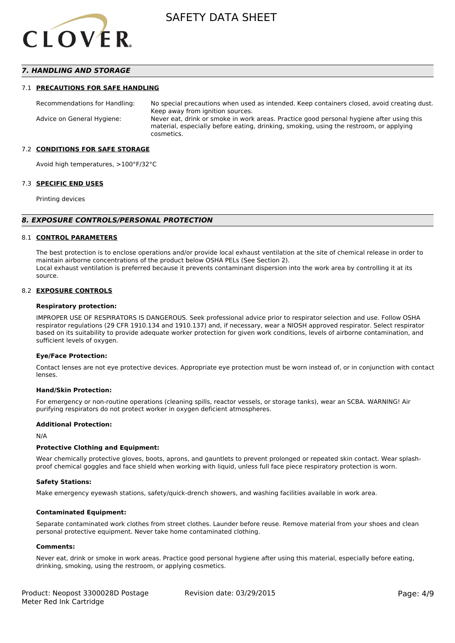

## *7. HANDLING AND STORAGE*

#### 7.1 **PRECAUTIONS FOR SAFE HANDLING**

Recommendations for Handling: No special precautions when used as intended. Keep containers closed, avoid creating dust. Keep away from ignition sources. Advice on General Hygiene: Never eat, drink or smoke in work areas. Practice good personal hygiene after using this material, especially before eating, drinking, smoking, using the restroom, or applying cosmetics.

#### 7.2 **CONDITIONS FOR SAFE STORAGE**

Avoid high temperatures, >100°F/32°C

#### 7.3 **SPECIFIC END USES**

Printing devices

#### *8. EXPOSURE CONTROLS/PERSONAL PROTECTION*

#### 8.1 **CONTROL PARAMETERS**

The best protection is to enclose operations and/or provide local exhaust ventilation at the site of chemical release in order to maintain airborne concentrations of the product below OSHA PELs (See Section 2). Local exhaust ventilation is preferred because it prevents contaminant dispersion into the work area by controlling it at its source.

#### 8.2 **EXPOSURE CONTROLS**

#### **Respiratory protection:**

IMPROPER USE OF RESPIRATORS IS DANGEROUS. Seek professional advice prior to respirator selection and use. Follow OSHA respirator regulations (29 CFR 1910.134 and 1910.137) and, if necessary, wear a NIOSH approved respirator. Select respirator based on its suitability to provide adequate worker protection for given work conditions, levels of airborne contamination, and sufficient levels of oxygen.

#### **Eye/Face Protection:**

Contact lenses are not eye protective devices. Appropriate eye protection must be worn instead of, or in conjunction with contact lenses.

#### **Hand/Skin Protection:**

For emergency or non-routine operations (cleaning spills, reactor vessels, or storage tanks), wear an SCBA. WARNING! Air purifying respirators do not protect worker in oxygen deficient atmospheres.

### **Additional Protection:**

N/A

### **Protective Clothing and Equipment:**

Wear chemically protective gloves, boots, aprons, and gauntlets to prevent prolonged or repeated skin contact. Wear splashproof chemical goggles and face shield when working with liquid, unless full face piece respiratory protection is worn.

#### **Safety Stations:**

Make emergency eyewash stations, safety/quick-drench showers, and washing facilities available in work area.

#### **Contaminated Equipment:**

Separate contaminated work clothes from street clothes. Launder before reuse. Remove material from your shoes and clean personal protective equipment. Never take home contaminated clothing.

#### **Comments:**

Never eat, drink or smoke in work areas. Practice good personal hygiene after using this material, especially before eating, drinking, smoking, using the restroom, or applying cosmetics.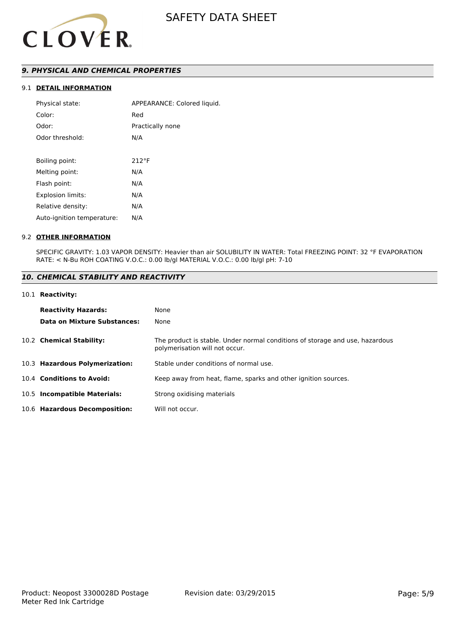

# *9. PHYSICAL AND CHEMICAL PROPERTIES*

## 9.1 **DETAIL INFORMATION**

| Physical state:            | APPEARANCE: Colored liquid. |
|----------------------------|-----------------------------|
| Color:                     | Red                         |
| Odor:                      | Practically none            |
| Odor threshold:            | N/A                         |
|                            |                             |
| Boiling point:             | $212^{\circ}F$              |
| Melting point:             | N/A                         |
| Flash point:               | N/A                         |
| Explosion limits:          | N/A                         |
| Relative density:          | N/A                         |
| Auto-ignition temperature: | N/A                         |
|                            |                             |

### 9.2 **OTHER INFORMATION**

SPECIFIC GRAVITY: 1.03 VAPOR DENSITY: Heavier than air SOLUBILITY IN WATER: Total FREEZING POINT: 32 °F EVAPORATION RATE: < N-Bu ROH COATING V.O.C.: 0.00 lb/gl MATERIAL V.O.C.: 0.00 lb/gl pH: 7-10

## *10. CHEMICAL STABILITY AND REACTIVITY*

#### 10.1 **Reactivity:**

| <b>Reactivity Hazards:</b>     | None                                                                                                           |
|--------------------------------|----------------------------------------------------------------------------------------------------------------|
| Data on Mixture Substances:    | None                                                                                                           |
| 10.2 Chemical Stability:       | The product is stable. Under normal conditions of storage and use, hazardous<br>polymerisation will not occur. |
| 10.3 Hazardous Polymerization: | Stable under conditions of normal use.                                                                         |
| 10.4 Conditions to Avoid:      | Keep away from heat, flame, sparks and other ignition sources.                                                 |
| 10.5 Incompatible Materials:   | Strong oxidising materials                                                                                     |
| 10.6 Hazardous Decomposition:  | Will not occur.                                                                                                |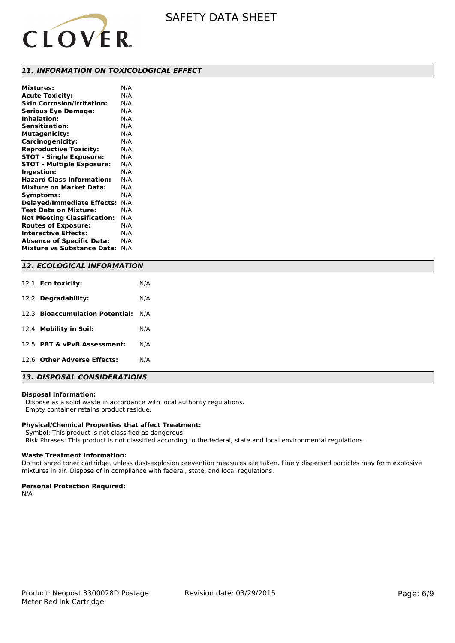

## *11. INFORMATION ON TOXICOLOGICAL EFFECT*

| <b>Mixtures:</b>                   | N/A |
|------------------------------------|-----|
| <b>Acute Toxicity:</b>             | N/A |
| <b>Skin Corrosion/Irritation:</b>  | N/A |
| <b>Serious Eye Damage:</b>         | N/A |
| <b>Inhalation:</b>                 | N/A |
| <b>Sensitization:</b>              | N/A |
| <b>Mutagenicity:</b>               | N/A |
| Carcinogenicity:                   | N/A |
| <b>Reproductive Toxicity:</b>      | N/A |
| <b>STOT - Single Exposure:</b>     | N/A |
| <b>STOT - Multiple Exposure:</b>   | N/A |
| Ingestion:                         | N/A |
| <b>Hazard Class Information:</b>   | N/A |
| <b>Mixture on Market Data:</b>     | N/A |
| Symptoms:                          | N/A |
| <b>Delayed/Immediate Effects:</b>  | N/A |
| <b>Test Data on Mixture:</b>       | N/A |
| <b>Not Meeting Classification:</b> | N/A |
| <b>Routes of Exposure:</b>         | N/A |
| <b>Interactive Effects:</b>        | N/A |
| <b>Absence of Specific Data:</b>   | N/A |
| <b>Mixture vs Substance Data:</b>  | N/A |

## *12. ECOLOGICAL INFORMATION*

| 12.1 <b>Eco toxicity:</b>           | N/A |
|-------------------------------------|-----|
| 12.2 Degradability:                 | N/A |
| 12.3 Bioaccumulation Potential: N/A |     |
| 12.4 Mobility in Soil:              | N/A |
| 12.5 PBT & vPvB Assessment:         | N/A |
| 12.6 Other Adverse Effects:         | N/A |
|                                     |     |

## *13. DISPOSAL CONSIDERATIONS*

#### **Disposal Information:**

 Dispose as a solid waste in accordance with local authority regulations. Empty container retains product residue.

#### **Physical/Chemical Properties that affect Treatment:**

Symbol: This product is not classified as dangerous

Risk Phrases: This product is not classified according to the federal, state and local environmental regulations.

#### **Waste Treatment Information:**

Do not shred toner cartridge, unless dust-explosion prevention measures are taken. Finely dispersed particles may form explosive mixtures in air. Dispose of in compliance with federal, state, and local regulations.

#### **Personal Protection Required:**

N/A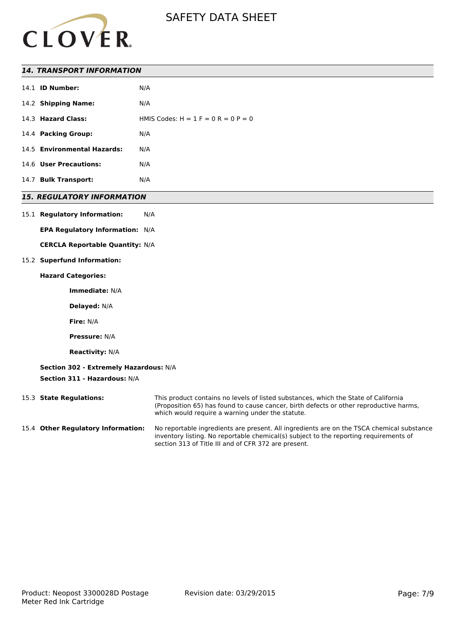

## *14. TRANSPORT INFORMATION*

|      | 14.1 <b>ID Number:</b>      | N/A                                   |
|------|-----------------------------|---------------------------------------|
|      | 14.2 Shipping Name:         | N/A                                   |
|      | 14.3 Hazard Class:          | HMIS Codes: $H = 1 F = 0 R = 0 P = 0$ |
|      | 14.4 Packing Group:         | N/A                                   |
|      | 14.5 Environmental Hazards: | N/A                                   |
|      | 14.6 User Precautions:      | N/A                                   |
| 14.7 | <b>Bulk Transport:</b>      | N/A                                   |

# *15. REGULATORY INFORMATION*

#### 15.1 **Regulatory Information:** N/A

**EPA Regulatory Information:** N/A

**CERCLA Reportable Quantity:** N/A

### 15.2 **Superfund Information:**

#### **Hazard Categories:**

**Immediate:** N/A

**Delayed:** N/A

**Fire:** N/A

**Pressure:** N/A

**Reactivity:** N/A

# **Section 302 - Extremely Hazardous:** N/A **Section 311 - Hazardous:** N/A

# 15.3 **State Regulations:** This product contains no levels of listed substances, which the State of California (Proposition 65) has found to cause cancer, birth defects or other reproductive harms, which would require a warning under the statute. 15.4 **Other Regulatory Information:** No reportable ingredients are present. All ingredients are on the TSCA chemical substance inventory listing. No reportable chemical(s) subject to the reporting requirements of

section 313 of Title III and of CFR 372 are present.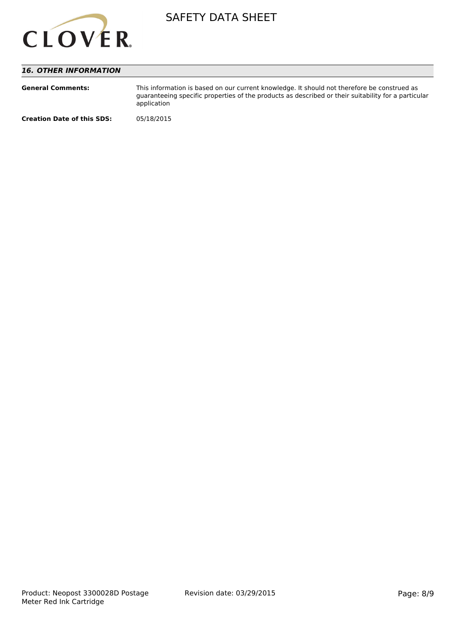

## *16. OTHER INFORMATION*

| <b>General Comments:</b>          | This information is based on our current knowledge. It should not therefore be construed as<br>quaranteeing specific properties of the products as described or their suitability for a particular<br>application |
|-----------------------------------|-------------------------------------------------------------------------------------------------------------------------------------------------------------------------------------------------------------------|
| <b>Creation Date of this SDS:</b> | 05/18/2015                                                                                                                                                                                                        |